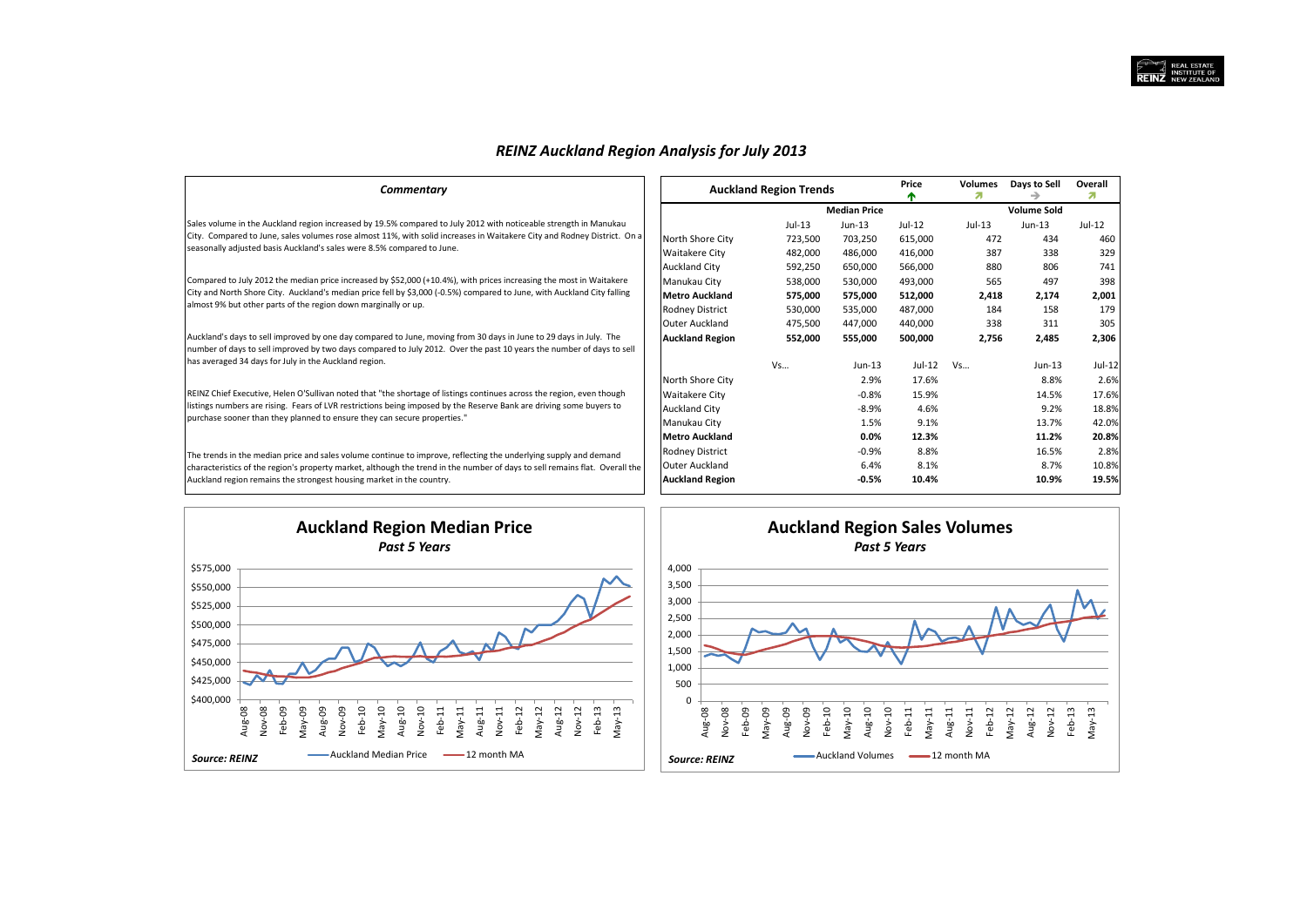## *REINZ Auckland Region Analysis for July 2013*

| Commentary                                                                                                                  | <b>Auckland Region Trends</b> |         |                     | Price<br>æ | <b>Volumes</b> | Days to Sell       | Overall<br>21 |
|-----------------------------------------------------------------------------------------------------------------------------|-------------------------------|---------|---------------------|------------|----------------|--------------------|---------------|
|                                                                                                                             |                               |         | <b>Median Price</b> |            |                | <b>Volume Sold</b> |               |
| Sales volume in the Auckland region increased by 19.5% compared to July 2012 with noticeable strength in Manukau            |                               | Jul-13  | Jun-13              | $Jul-12$   | $Jul-13$       | $Jun-13$           | Jul-12        |
| City. Compared to June, sales volumes rose almost 11%, with solid increases in Waitakere City and Rodney District. On a     | North Shore City              | 723,500 | 703,250             | 615,000    | 472            | 434                | 460           |
| seasonally adjusted basis Auckland's sales were 8.5% compared to June.                                                      | Waitakere City                | 482,000 | 486,000             | 416,000    | 387            | 338                | 329           |
|                                                                                                                             | <b>Auckland City</b>          | 592,250 | 650,000             | 566,000    | 880            | 806                | 741           |
| Compared to July 2012 the median price increased by \$52,000 (+10.4%), with prices increasing the most in Waitakere         | Manukau City                  | 538,000 | 530,000             | 493,000    | 565            | 497                | 398           |
| City and North Shore City. Auckland's median price fell by \$3,000 (-0.5%) compared to June, with Auckland City falling     | <b>Metro Auckland</b>         | 575,000 | 575,000             | 512,000    | 2,418          | 2,174              | 2,001         |
| almost 9% but other parts of the region down marginally or up.                                                              | Rodney District               | 530,000 | 535,000             | 487,000    | 184            | 158                | 179           |
|                                                                                                                             | <b>Outer Auckland</b>         | 475,500 | 447,000             | 440,000    | 338            | 311                | 305           |
| Auckland's days to sell improved by one day compared to June, moving from 30 days in June to 29 days in July. The           | <b>Auckland Region</b>        | 552,000 | 555,000             | 500,000    | 2,756          | 2,485              | 2,306         |
| number of days to sell improved by two days compared to July 2012. Over the past 10 years the number of days to sell        |                               |         |                     |            |                |                    |               |
| has averaged 34 days for July in the Auckland region.                                                                       |                               | Vs      | $Jun-13$            | Jul-12     | Vs             | $Jun-13$           | $Jul-12$      |
|                                                                                                                             | North Shore City              |         | 2.9%                | 17.6%      |                | 8.8%               | 2.6%          |
| REINZ Chief Executive, Helen O'Sullivan noted that "the shortage of listings continues across the region, even though       | Waitakere City                |         | $-0.8%$             | 15.9%      |                | 14.5%              | 17.6%         |
| listings numbers are rising. Fears of LVR restrictions being imposed by the Reserve Bank are driving some buyers to         | <b>Auckland City</b>          |         | $-8.9%$             | 4.6%       |                | 9.2%               | 18.8%         |
| purchase sooner than they planned to ensure they can secure properties."                                                    | Manukau City                  |         | 1.5%                | 9.1%       |                | 13.7%              | 42.0%         |
|                                                                                                                             | <b>Metro Auckland</b>         |         | 0.0%                | 12.3%      |                | 11.2%              | 20.8%         |
| The trends in the median price and sales volume continue to improve, reflecting the underlying supply and demand            | Rodney District               |         | $-0.9%$             | 8.8%       |                | 16.5%              | 2.8%          |
| characteristics of the region's property market, although the trend in the number of days to sell remains flat. Overall the | Outer Auckland                |         | 6.4%                | 8.1%       |                | 8.7%               | 10.8%         |
| Auckland region remains the strongest housing market in the country.                                                        | <b>Auckland Region</b>        |         | $-0.5%$             | 10.4%      |                | 10.9%              | 19.5%         |



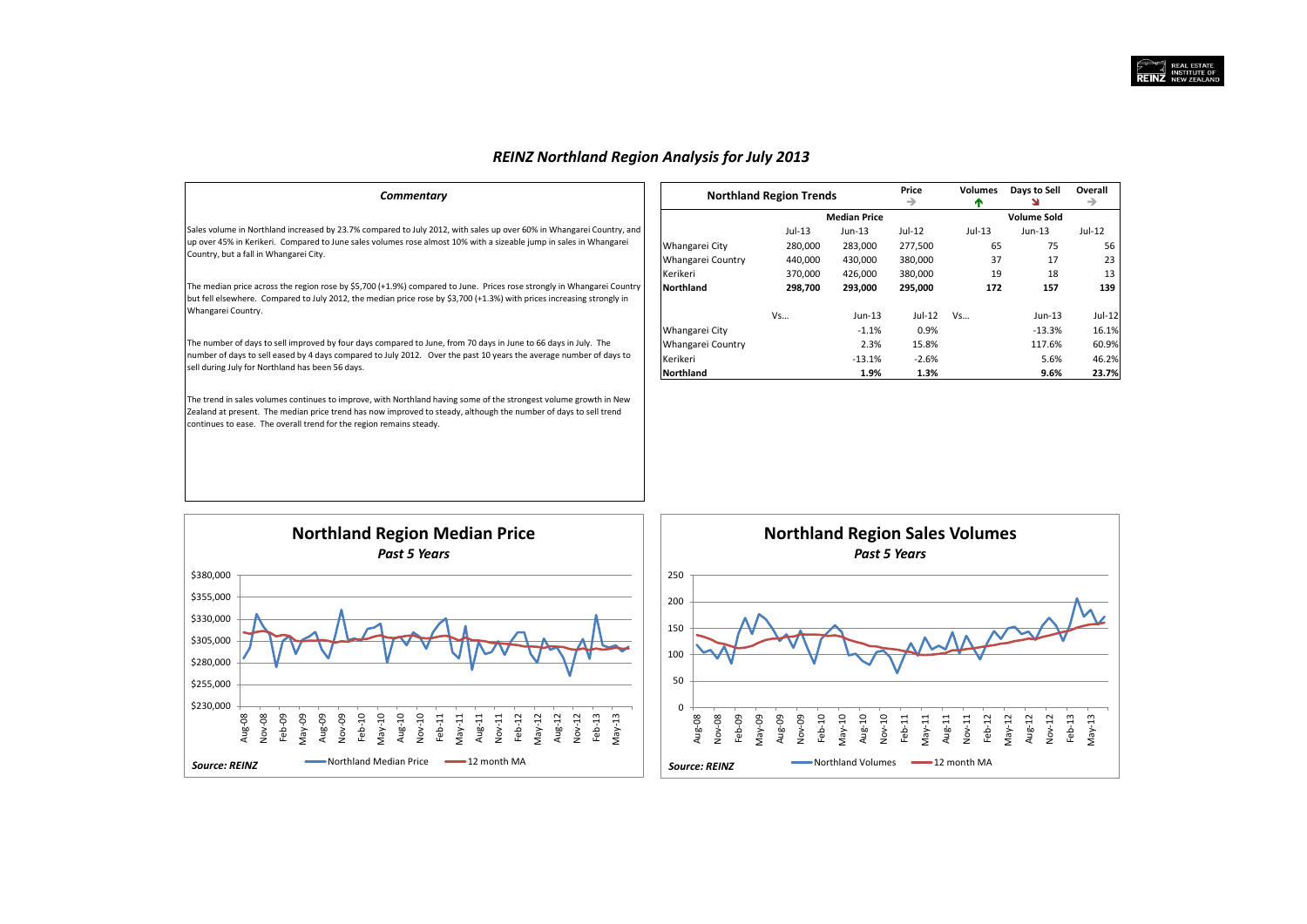# *REINZ Northland Region Analysis for July 2013*

| Commentary                                                                                                                                                                                                                                                                                                   |                   | <b>Northland Region Trends</b> |                     | Price<br>→ | Volumes | Days to Sell<br>N  | Overall<br>→ |
|--------------------------------------------------------------------------------------------------------------------------------------------------------------------------------------------------------------------------------------------------------------------------------------------------------------|-------------------|--------------------------------|---------------------|------------|---------|--------------------|--------------|
|                                                                                                                                                                                                                                                                                                              |                   |                                | <b>Median Price</b> |            |         | <b>Volume Sold</b> |              |
| Sales volume in Northland increased by 23.7% compared to July 2012, with sales up over 60% in Whangarei Country, and                                                                                                                                                                                         |                   | Jul-13                         | Jun-13              | Jul-12     | Jul-13  | Jun-13             | Jul-12       |
| up over 45% in Kerikeri. Compared to June sales volumes rose almost 10% with a sizeable jump in sales in Whangarei                                                                                                                                                                                           | Whangarei City    | 280,000                        | 283,000             | 277,500    | 65      | 75                 | 56           |
| Country, but a fall in Whangarei City.                                                                                                                                                                                                                                                                       | Whangarei Country | 440,000                        | 430,000             | 380,000    | 37      | 17                 | 23           |
|                                                                                                                                                                                                                                                                                                              | Kerikeri          | 370,000                        | 426,000             | 380,000    | 19      | 18                 | 13           |
| The median price across the region rose by \$5,700 (+1.9%) compared to June. Prices rose strongly in Whangarei Country<br>but fell elsewhere. Compared to July 2012, the median price rose by \$3,700 (+1.3%) with prices increasing strongly in                                                             | <b>Northland</b>  | 298,700                        | 293,000             | 295,000    | 172     | 157                | 139          |
| Whangarei Country.                                                                                                                                                                                                                                                                                           |                   | Vs                             | $Jun-13$            | Jul-12     | Vs      | Jun-13             | $Jul-12$     |
|                                                                                                                                                                                                                                                                                                              | Whangarei City    |                                | $-1.1%$             | 0.9%       |         | $-13.3%$           | 16.1%        |
| The number of days to sell improved by four days compared to June, from 70 days in June to 66 days in July. The                                                                                                                                                                                              | Whangarei Country |                                | 2.3%                | 15.8%      |         | 117.6%             | 60.9%        |
| number of days to sell eased by 4 days compared to July 2012. Over the past 10 years the average number of days to                                                                                                                                                                                           | Kerikeri          |                                | $-13.1%$            | $-2.6%$    |         | 5.6%               | 46.2%        |
| sell during July for Northland has been 56 days.                                                                                                                                                                                                                                                             | <b>Northland</b>  |                                | 1.9%                | 1.3%       |         | 9.6%               | 23.7%        |
| The trend in sales volumes continues to improve, with Northland having some of the strongest volume growth in New<br>Zealand at present. The median price trend has now improved to steady, although the number of days to sell trend<br>continues to ease. The overall trend for the region remains steady. |                   |                                |                     |            |         |                    |              |



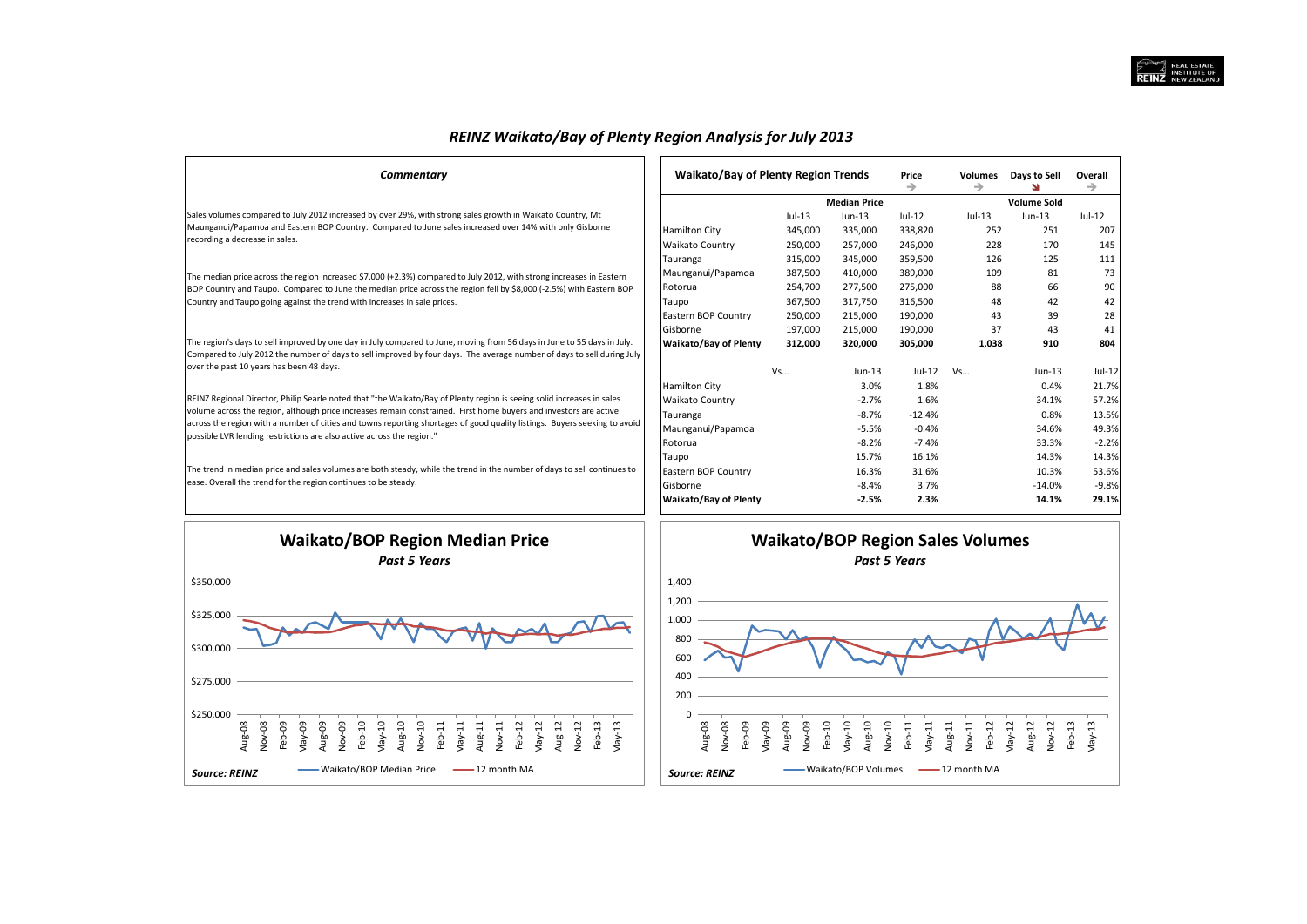Sales volumes compared to July 2012 increased by over 29%, with strong sales growth in Waikato Country, Mt Maunganui/Papamoa and Eastern BOP Country. Compared to June sales increased over 14% with only Gisborne recording a decrease in sales.

 $Commentary$ 

The median price across the region increased \$7,000 (+2.3%) compared to July 2012, with strong increases in Eastern BOP Country and Taupo. Compared to June the median price across the region fell by \$8,000 (-2.5%) with Eastern BOP Country and Taupo going against the trend with increases in sale prices.

The region's days to sell improved by one day in July compared to June, moving from 56 days in June to 55 days in July. Compared to July 2012 the number of days to sell improved by four days. The average number of days to sell during July over the past 10 years has been 48 days.

REINZ Regional Director, Philip Searle noted that "the Waikato/Bay of Plenty region is seeing solid increases in sales volume across the region, although price increases remain constrained. First home buyers and investors are active across the region with a number of cities and towns reporting shortages of good quality listings. Buyers seeking to avoid possible LVR lending restrictions are also active across the region."

The trend in median price and sales volumes are both steady, while the trend in the number of days to sell continues to ease. Overall the trend for the region continues to be steady.

| <b>Waikato/Bay of Plenty Region Trends</b> |          |                     | Price<br>→ | <b>Volumes</b><br>→ | Days to Sell<br>N  | Overall<br>→ |
|--------------------------------------------|----------|---------------------|------------|---------------------|--------------------|--------------|
|                                            |          | <b>Median Price</b> |            |                     | <b>Volume Sold</b> |              |
|                                            | $Jul-13$ | $Jun-13$            | $Jul-12$   | $Jul-13$            | $Jun-13$           | $Jul-12$     |
| Hamilton City                              | 345,000  | 335,000             | 338,820    | 252                 | 251                | 207          |
| Waikato Country                            | 250,000  | 257,000             | 246,000    | 228                 | 170                | 145          |
| Tauranga                                   | 315,000  | 345,000             | 359,500    | 126                 | 125                | 111          |
| Maunganui/Papamoa                          | 387,500  | 410,000             | 389,000    | 109                 | 81                 | 73           |
| Rotorua                                    | 254,700  | 277,500             | 275,000    | 88                  | 66                 | 90           |
| Taupo                                      | 367,500  | 317,750             | 316,500    | 48                  | 42                 | 42           |
| Eastern BOP Country                        | 250,000  | 215,000             | 190,000    | 43                  | 39                 | 28           |
| Gisborne                                   | 197.000  | 215.000             | 190.000    | 37                  | 43                 | 41           |
| Waikato/Bay of Plenty                      | 312,000  | 320,000             | 305,000    | 1,038               | 910                | 804          |
|                                            | Vs       | $Jun-13$            | $Jul-12$   | Vs                  | $Jun-13$           | $Jul-12$     |
| Hamilton City                              |          | 3.0%                | 1.8%       |                     | 0.4%               | 21.7%        |
| Waikato Country                            |          | $-2.7%$             | 1.6%       |                     | 34.1%              | 57.2%        |
| Tauranga                                   |          | $-8.7%$             | $-12.4%$   |                     | 0.8%               | 13.5%        |
| Maunganui/Papamoa                          |          | $-5.5%$             | $-0.4%$    |                     | 34.6%              | 49.3%        |
| Rotorua                                    |          | $-8.2%$             | $-7.4%$    |                     | 33.3%              | $-2.2%$      |
| Taupo                                      |          | 15.7%               | 16.1%      |                     | 14.3%              | 14.3%        |
| Eastern BOP Country                        |          | 16.3%               | 31.6%      |                     | 10.3%              | 53.6%        |
| Gisborne                                   |          | $-8.4%$             | 3.7%       |                     | $-14.0%$           | $-9.8%$      |
| Waikato/Bay of Plenty                      |          | $-2.5%$             | 2.3%       |                     | 14.1%              | 29.1%        |

![](_page_2_Figure_8.jpeg)

![](_page_2_Figure_9.jpeg)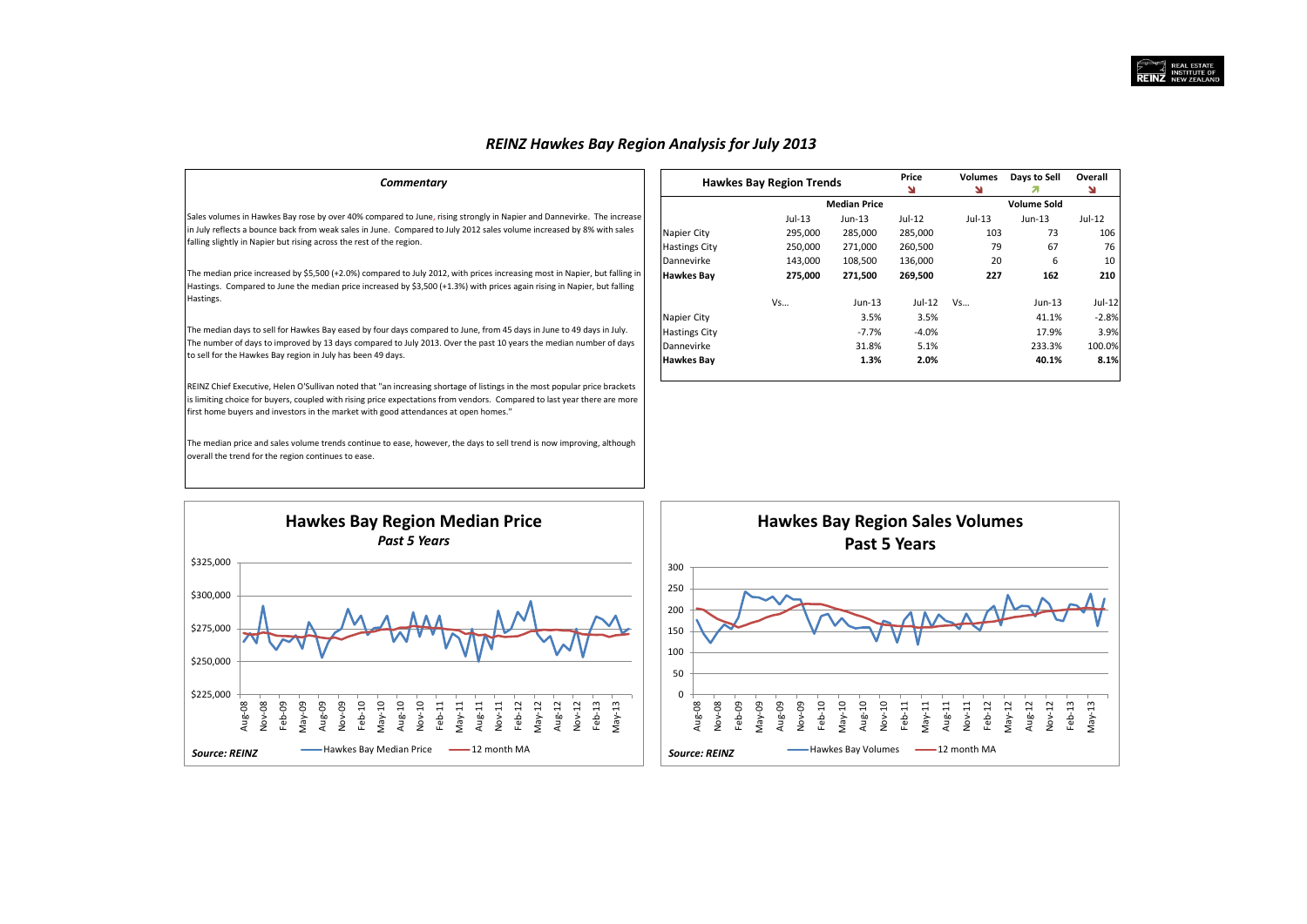## *REINZ Hawkes Bay Region Analysis for July 2013*

| Commentary                                                                                                                                                                                                                                                                                                                                   |                      | <b>Hawkes Bay Region Trends</b> |                     | Price<br>N | <b>Volumes</b> | Days to Sell       | Overall<br>¥ |
|----------------------------------------------------------------------------------------------------------------------------------------------------------------------------------------------------------------------------------------------------------------------------------------------------------------------------------------------|----------------------|---------------------------------|---------------------|------------|----------------|--------------------|--------------|
|                                                                                                                                                                                                                                                                                                                                              |                      |                                 | <b>Median Price</b> |            |                | <b>Volume Sold</b> |              |
| Sales volumes in Hawkes Bay rose by over 40% compared to June, rising strongly in Napier and Dannevirke. The increase                                                                                                                                                                                                                        |                      | Jul-13                          | Jun-13              | Jul-12     | $Jul-13$       | $Jun-13$           | Jul-12       |
| in July reflects a bounce back from weak sales in June. Compared to July 2012 sales volume increased by 8% with sales                                                                                                                                                                                                                        | Napier City          | 295,000                         | 285,000             | 285,000    | 103            | 73                 | 106          |
| falling slightly in Napier but rising across the rest of the region.                                                                                                                                                                                                                                                                         | <b>Hastings City</b> | 250,000                         | 271,000             | 260,500    | 79             | 67                 | 76           |
|                                                                                                                                                                                                                                                                                                                                              | Dannevirke           | 143,000                         | 108,500             | 136,000    | 20             | 6                  | 10           |
| The median price increased by \$5,500 (+2.0%) compared to July 2012, with prices increasing most in Napier, but falling in<br>Hastings. Compared to June the median price increased by \$3,500 (+1.3%) with prices again rising in Napier, but falling                                                                                       | <b>Hawkes Bay</b>    | 275,000                         | 271,500             | 269,500    | 227            | 162                | 210          |
| Hastings.                                                                                                                                                                                                                                                                                                                                    |                      | Vs                              | Jun-13              | Jul-12     | Vs             | $Jun-13$           | $Jul-12$     |
|                                                                                                                                                                                                                                                                                                                                              | Napier City          |                                 | 3.5%                | 3.5%       |                | 41.1%              | $-2.8%$      |
| The median days to sell for Hawkes Bay eased by four days compared to June, from 45 days in June to 49 days in July.                                                                                                                                                                                                                         | <b>Hastings City</b> |                                 | $-7.7%$             | $-4.0%$    |                | 17.9%              | 3.9%         |
| The number of days to improved by 13 days compared to July 2013. Over the past 10 years the median number of days                                                                                                                                                                                                                            | Dannevirke           |                                 | 31.8%               | 5.1%       |                | 233.3%             | 100.0%       |
| to sell for the Hawkes Bay region in July has been 49 days.                                                                                                                                                                                                                                                                                  | <b>Hawkes Bay</b>    |                                 | 1.3%                | 2.0%       |                | 40.1%              | 8.1%         |
| REINZ Chief Executive, Helen O'Sullivan noted that "an increasing shortage of listings in the most popular price brackets<br>is limiting choice for buyers, coupled with rising price expectations from vendors. Compared to last year there are more<br>first home buyers and investors in the market with good attendances at open homes." |                      |                                 |                     |            |                |                    |              |
| The median price and sales volume trends continue to ease, however, the days to sell trend is now improving, although                                                                                                                                                                                                                        |                      |                                 |                     |            |                |                    |              |

\$225,000 \$250,000 \$275,000 \$300,000 \$325,000 Aug-08 Nov-08 Feb-09 May-09 Aug-09 Nov-09 Feb-10 May-10 Aug-10 Nov-10 Feb-11 May-11 Aug-11 Nov-11 Feb-12 May-12 Aug-12 Nov-12 Feb-13 May-13 **Hawkes Bay Region Median Price** *Past 5 Years* Hawkes Bay Median Price 12 month MA *Source: REINZ*

overall the trend for the region continues to ease.

![](_page_3_Figure_4.jpeg)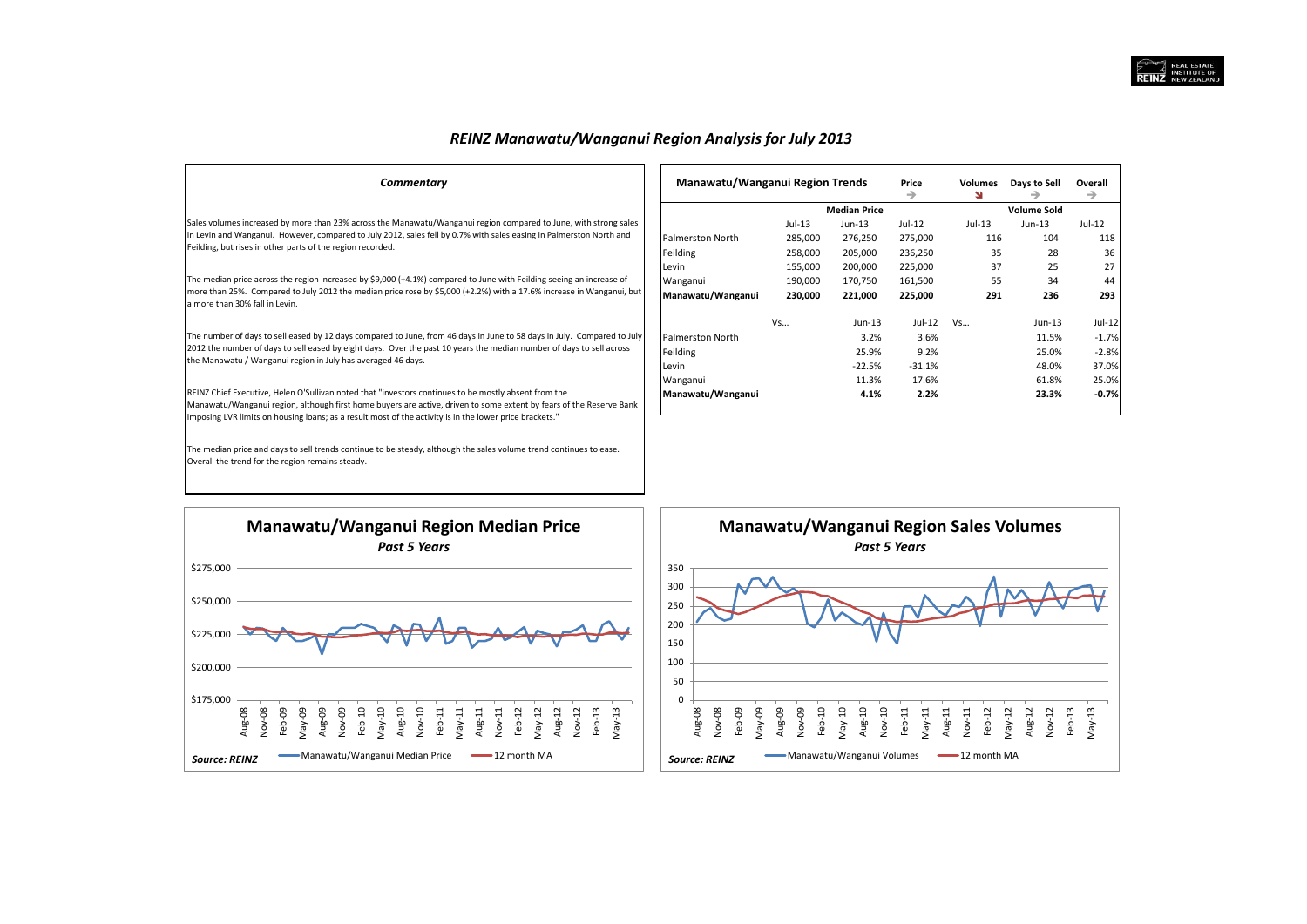## *REINZ Manawatu/Wanganui Region Analysis for July 2013*

| Commentary                                                                                                                                                                                                                                                                                                                             | Manawatu/Wanganui Region Trends |          |                     | Price    | Volumes  | Days to Sell       | Overall  |
|----------------------------------------------------------------------------------------------------------------------------------------------------------------------------------------------------------------------------------------------------------------------------------------------------------------------------------------|---------------------------------|----------|---------------------|----------|----------|--------------------|----------|
|                                                                                                                                                                                                                                                                                                                                        |                                 |          |                     | →        | N        |                    | →        |
|                                                                                                                                                                                                                                                                                                                                        |                                 |          | <b>Median Price</b> |          |          | <b>Volume Sold</b> |          |
| Sales volumes increased by more than 23% across the Manawatu/Wanganui region compared to June, with strong sales                                                                                                                                                                                                                       |                                 | $Jul-13$ | Jun-13              | Jul-12   | $Jul-13$ | $Jun-13$           | Jul-12   |
| in Levin and Wanganui. However, compared to July 2012, sales fell by 0.7% with sales easing in Palmerston North and                                                                                                                                                                                                                    | Palmerston North                | 285,000  | 276,250             | 275,000  | 116      | 104                | 118      |
| Feilding, but rises in other parts of the region recorded.                                                                                                                                                                                                                                                                             | Feilding                        | 258,000  | 205,000             | 236,250  | 35       | 28                 | 36       |
|                                                                                                                                                                                                                                                                                                                                        | Levin                           | 155,000  | 200,000             | 225,000  | 37       | 25                 | 27       |
| The median price across the region increased by \$9,000 (+4.1%) compared to June with Feilding seeing an increase of                                                                                                                                                                                                                   | Wanganui                        | 190,000  | 170,750             | 161,500  | 55       | 34                 | 44       |
| more than 25%. Compared to July 2012 the median price rose by \$5,000 (+2.2%) with a 17.6% increase in Wanganui, but<br>a more than 30% fall in Levin.                                                                                                                                                                                 | Manawatu/Wanganui               | 230,000  | 221,000             | 225,000  | 291      | 236                | 293      |
|                                                                                                                                                                                                                                                                                                                                        |                                 | Vs       | $Jun-13$            | Jul-12   | Vs       | Jun-13             | $Jul-12$ |
| The number of days to sell eased by 12 days compared to June, from 46 days in June to 58 days in July. Compared to July                                                                                                                                                                                                                | Palmerston North                |          | 3.2%                | 3.6%     |          | 11.5%              | $-1.7%$  |
| 2012 the number of days to sell eased by eight days. Over the past 10 years the median number of days to sell across                                                                                                                                                                                                                   | Feilding                        |          | 25.9%               | 9.2%     |          | 25.0%              | $-2.8%$  |
| the Manawatu / Wanganui region in July has averaged 46 days.                                                                                                                                                                                                                                                                           | Levin                           |          | $-22.5%$            | $-31.1%$ |          | 48.0%              | 37.0%    |
|                                                                                                                                                                                                                                                                                                                                        | Wanganui                        |          | 11.3%               | 17.6%    |          | 61.8%              | 25.0%    |
| REINZ Chief Executive, Helen O'Sullivan noted that "investors continues to be mostly absent from the<br>Manawatu/Wanganui region, although first home buyers are active, driven to some extent by fears of the Reserve Bank<br>imposing LVR limits on housing loans; as a result most of the activity is in the lower price brackets." | Manawatu/Wanganui               |          | 4.1%                | 2.2%     |          | 23.3%              | $-0.7%$  |
| The median price and days to sell trends continue to be steady, although the sales volume trend continues to ease.<br>Overall the trend for the region remains steady.                                                                                                                                                                 |                                 |          |                     |          |          |                    |          |

![](_page_4_Figure_3.jpeg)

![](_page_4_Figure_4.jpeg)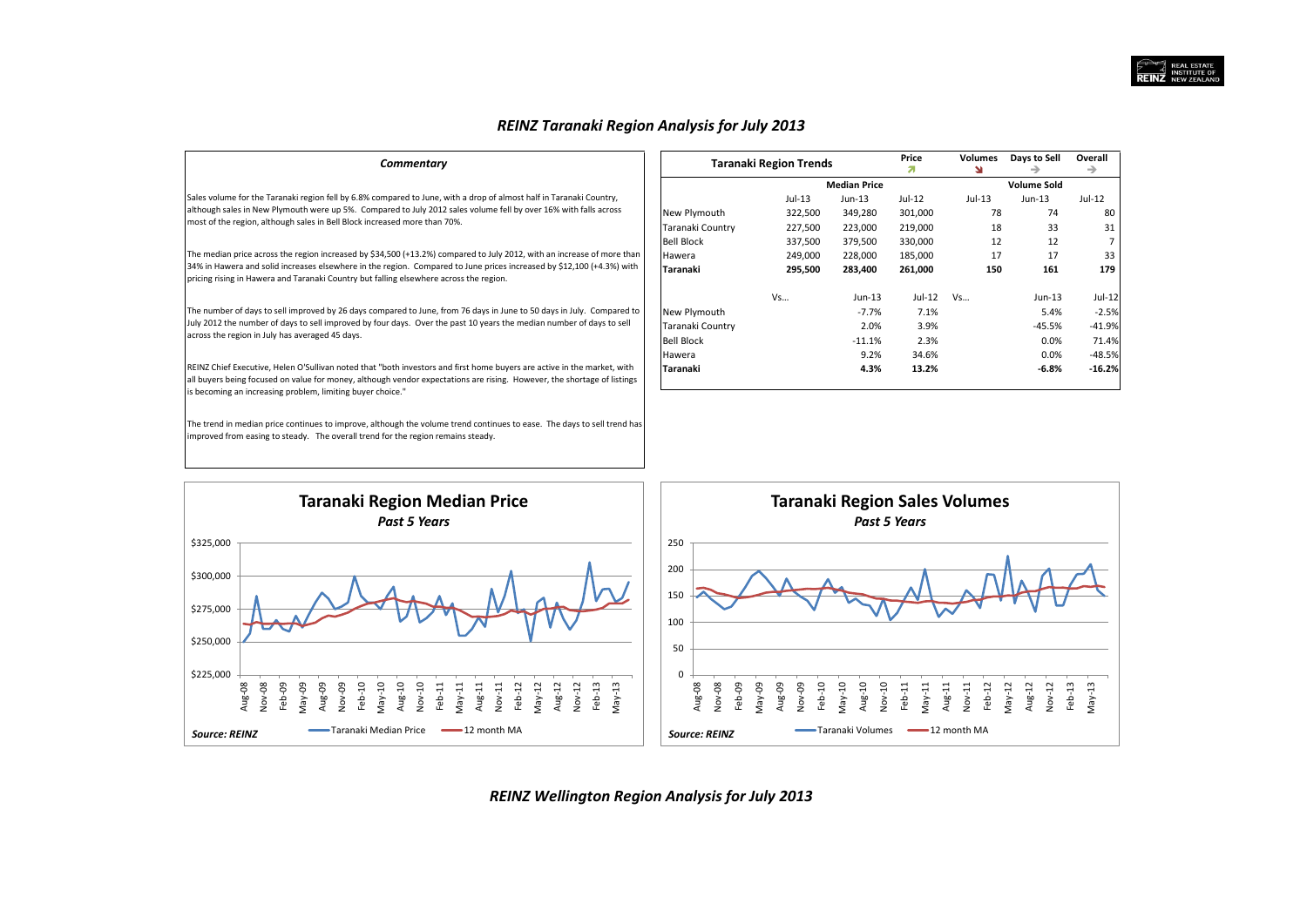## *REINZ Taranaki Region Analysis for July 2013*

| Commentary                                                                                                                                                                                                                                                                                                                                                                                                                                                                                        | <b>Taranaki Region Trends</b> |          |                     | Price<br>я | Volumes<br>N | Days to Sell       | Overall  |
|---------------------------------------------------------------------------------------------------------------------------------------------------------------------------------------------------------------------------------------------------------------------------------------------------------------------------------------------------------------------------------------------------------------------------------------------------------------------------------------------------|-------------------------------|----------|---------------------|------------|--------------|--------------------|----------|
|                                                                                                                                                                                                                                                                                                                                                                                                                                                                                                   |                               |          | <b>Median Price</b> |            |              | <b>Volume Sold</b> |          |
| Sales volume for the Taranaki region fell by 6.8% compared to June, with a drop of almost half in Taranaki Country,                                                                                                                                                                                                                                                                                                                                                                               |                               | $Jul-13$ | Jun-13              | $Jul-12$   | $Jul-13$     | $Jun-13$           | $Jul-12$ |
|                                                                                                                                                                                                                                                                                                                                                                                                                                                                                                   | New Plymouth                  | 322,500  | 349,280             | 301,000    | 78           | 74                 | 80       |
|                                                                                                                                                                                                                                                                                                                                                                                                                                                                                                   | Taranaki Country              | 227,500  | 223,000             | 219,000    | 18           | 33                 | 31       |
|                                                                                                                                                                                                                                                                                                                                                                                                                                                                                                   | <b>Bell Block</b>             | 337,500  | 379,500             | 330,000    | 12           | 12                 |          |
| The median price across the region increased by \$34,500 (+13.2%) compared to July 2012, with an increase of more than                                                                                                                                                                                                                                                                                                                                                                            | Hawera                        | 249,000  | 228,000             | 185,000    | 17           | 17                 | 33       |
| 34% in Hawera and solid increases elsewhere in the region. Compared to June prices increased by \$12,100 (+4.3%) with<br>pricing rising in Hawera and Taranaki Country but falling elsewhere across the region.                                                                                                                                                                                                                                                                                   | Taranaki                      | 295,500  | 283,400             | 261,000    | 150          | 161                | 179      |
|                                                                                                                                                                                                                                                                                                                                                                                                                                                                                                   |                               | Vs       | $Jun-13$            | Jul-12     | Vs           | $Jun-13$           | Jul-12   |
| although sales in New Plymouth were up 5%. Compared to July 2012 sales volume fell by over 16% with falls across<br>most of the region, although sales in Bell Block increased more than 70%.<br>The number of days to sell improved by 26 days compared to June, from 76 days in June to 50 days in July. Compared to<br>July 2012 the number of days to sell improved by four days. Over the past 10 years the median number of days to sell<br>across the region in July has averaged 45 days. | New Plymouth                  |          | $-7.7%$             | 7.1%       |              | 5.4%               | $-2.5%$  |
|                                                                                                                                                                                                                                                                                                                                                                                                                                                                                                   | Taranaki Country              |          | 2.0%                | 3.9%       |              | $-45.5%$           | $-41.9%$ |
|                                                                                                                                                                                                                                                                                                                                                                                                                                                                                                   | <b>Bell Block</b>             |          | $-11.1%$            | 2.3%       |              | 0.0%               | 71.4%    |
|                                                                                                                                                                                                                                                                                                                                                                                                                                                                                                   | Hawera                        |          | 9.2%                | 34.6%      |              | 0.0%               | $-48.5%$ |
| REINZ Chief Executive, Helen O'Sullivan noted that "both investors and first home buyers are active in the market, with                                                                                                                                                                                                                                                                                                                                                                           | Taranaki                      |          | 4.3%                | 13.2%      |              | $-6.8%$            | $-16.2%$ |
| all buyers being focused on value for money, although vendor expectations are rising. However, the shortage of listings<br>is becoming an increasing problem, limiting buyer choice."                                                                                                                                                                                                                                                                                                             |                               |          |                     |            |              |                    |          |
| The trend in median price continues to improve, although the volume trend continues to ease. The days to sell trend has<br>improved from easing to steady. The overall trend for the region remains steady.                                                                                                                                                                                                                                                                                       |                               |          |                     |            |              |                    |          |
|                                                                                                                                                                                                                                                                                                                                                                                                                                                                                                   |                               |          |                     |            |              |                    |          |

![](_page_5_Figure_3.jpeg)

*REINZ Wellington Region Analysis for July 2013*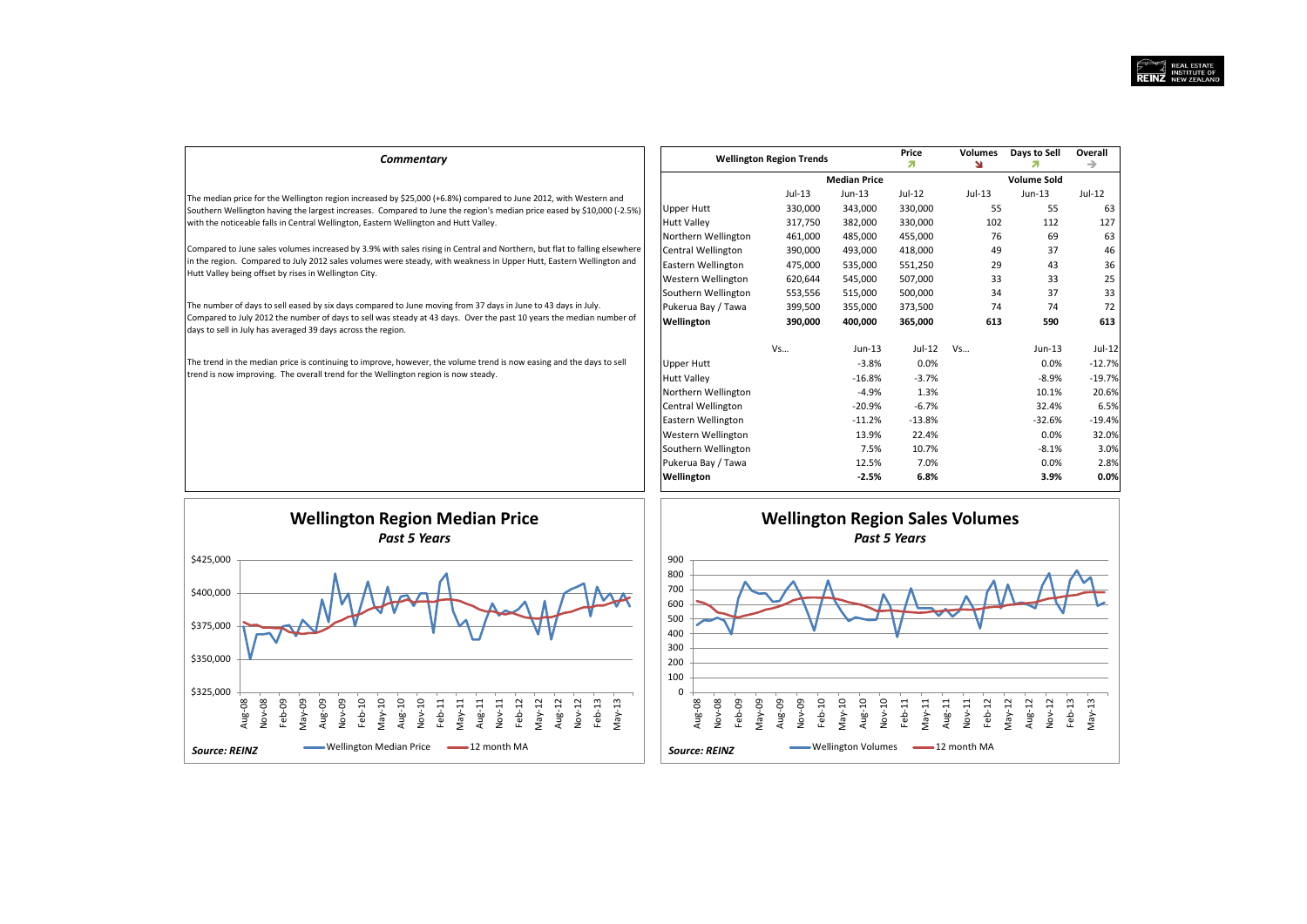| Commentary                                                                                                                                                                                                                                                                                           |                     | <b>Wellington Region Trends</b> |                     | Price<br>я | <b>Volumes</b><br>N | Days to Sell       | Overall<br>→ |
|------------------------------------------------------------------------------------------------------------------------------------------------------------------------------------------------------------------------------------------------------------------------------------------------------|---------------------|---------------------------------|---------------------|------------|---------------------|--------------------|--------------|
|                                                                                                                                                                                                                                                                                                      |                     |                                 | <b>Median Price</b> |            |                     | <b>Volume Sold</b> |              |
| The median price for the Wellington region increased by \$25,000 (+6.8%) compared to June 2012, with Western and                                                                                                                                                                                     |                     | $Jul-13$                        | Jun-13              | $Jul-12$   | $Jul-13$            | $Jun-13$           | $Jul-12$     |
| Southern Wellington having the largest increases. Compared to June the region's median price eased by \$10,000 (-2.5%)                                                                                                                                                                               | <b>Upper Hutt</b>   | 330,000                         | 343,000             | 330,000    | 55                  | 55                 | 63           |
| with the noticeable falls in Central Wellington, Eastern Wellington and Hutt Valley.                                                                                                                                                                                                                 | <b>Hutt Valley</b>  | 317,750                         | 382,000             | 330,000    | 102                 | 112                | 127          |
|                                                                                                                                                                                                                                                                                                      | Northern Wellington | 461,000                         | 485,000             | 455,000    | 76                  | 69                 | 63           |
| Compared to June sales volumes increased by 3.9% with sales rising in Central and Northern, but flat to falling elsewhere                                                                                                                                                                            | Central Wellington  | 390,000                         | 493,000             | 418,000    | 49                  | 37                 | 46           |
| in the region. Compared to July 2012 sales volumes were steady, with weakness in Upper Hutt, Eastern Wellington and                                                                                                                                                                                  | Eastern Wellington  | 475,000                         | 535,000             | 551,250    | 29                  | 43                 | 36           |
| Hutt Valley being offset by rises in Wellington City.                                                                                                                                                                                                                                                | Western Wellington  | 620,644                         | 545,000             | 507,000    | 33                  | 33                 | 25           |
|                                                                                                                                                                                                                                                                                                      | Southern Wellington | 553,556                         | 515,000             | 500,000    | 34                  | 37                 | 33           |
| The number of days to sell eased by six days compared to June moving from 37 days in June to 43 days in July.<br>Compared to July 2012 the number of days to sell was steady at 43 days. Over the past 10 years the median number of<br>days to sell in July has averaged 39 days across the region. | Pukerua Bay / Tawa  | 399,500                         | 355,000             | 373,500    | 74                  | 74                 | 72           |
|                                                                                                                                                                                                                                                                                                      | Wellington          | 390,000                         | 400,000             | 365,000    | 613                 | 590                | 613          |
|                                                                                                                                                                                                                                                                                                      |                     | Vs                              | $Jun-13$            | Jul-12     | Vs                  | $Jun-13$           | Jul-12       |
| The trend in the median price is continuing to improve, however, the volume trend is now easing and the days to sell                                                                                                                                                                                 | <b>Upper Hutt</b>   |                                 | $-3.8%$             | 0.0%       |                     | $0.0\%$            | $-12.7%$     |
| trend is now improving. The overall trend for the Wellington region is now steady.                                                                                                                                                                                                                   | <b>Hutt Valley</b>  |                                 | $-16.8%$            | $-3.7%$    |                     | $-8.9%$            | $-19.7%$     |
|                                                                                                                                                                                                                                                                                                      | Northern Wellington |                                 | $-4.9%$             | 1.3%       |                     | 10.1%              | 20.6%        |
|                                                                                                                                                                                                                                                                                                      | Central Wellington  |                                 | $-20.9%$            | $-6.7%$    |                     | 32.4%              | 6.5%         |
|                                                                                                                                                                                                                                                                                                      | Eastern Wellington  |                                 | $-11.2%$            | $-13.8%$   |                     | $-32.6%$           | $-19.4%$     |
|                                                                                                                                                                                                                                                                                                      | Western Wellington  |                                 | 13.9%               | 22.4%      |                     | $0.0\%$            | 32.0%        |
|                                                                                                                                                                                                                                                                                                      | Southern Wellington |                                 | 7.5%                | 10.7%      |                     | $-8.1%$            | 3.0%         |
|                                                                                                                                                                                                                                                                                                      | Pukerua Bay / Tawa  |                                 | 12.5%               | 7.0%       |                     | $0.0\%$            | 2.8%         |
|                                                                                                                                                                                                                                                                                                      | Wellington          |                                 | $-2.5%$             | 6.8%       |                     | 3.9%               | 0.0%         |

![](_page_6_Figure_2.jpeg)

![](_page_6_Figure_3.jpeg)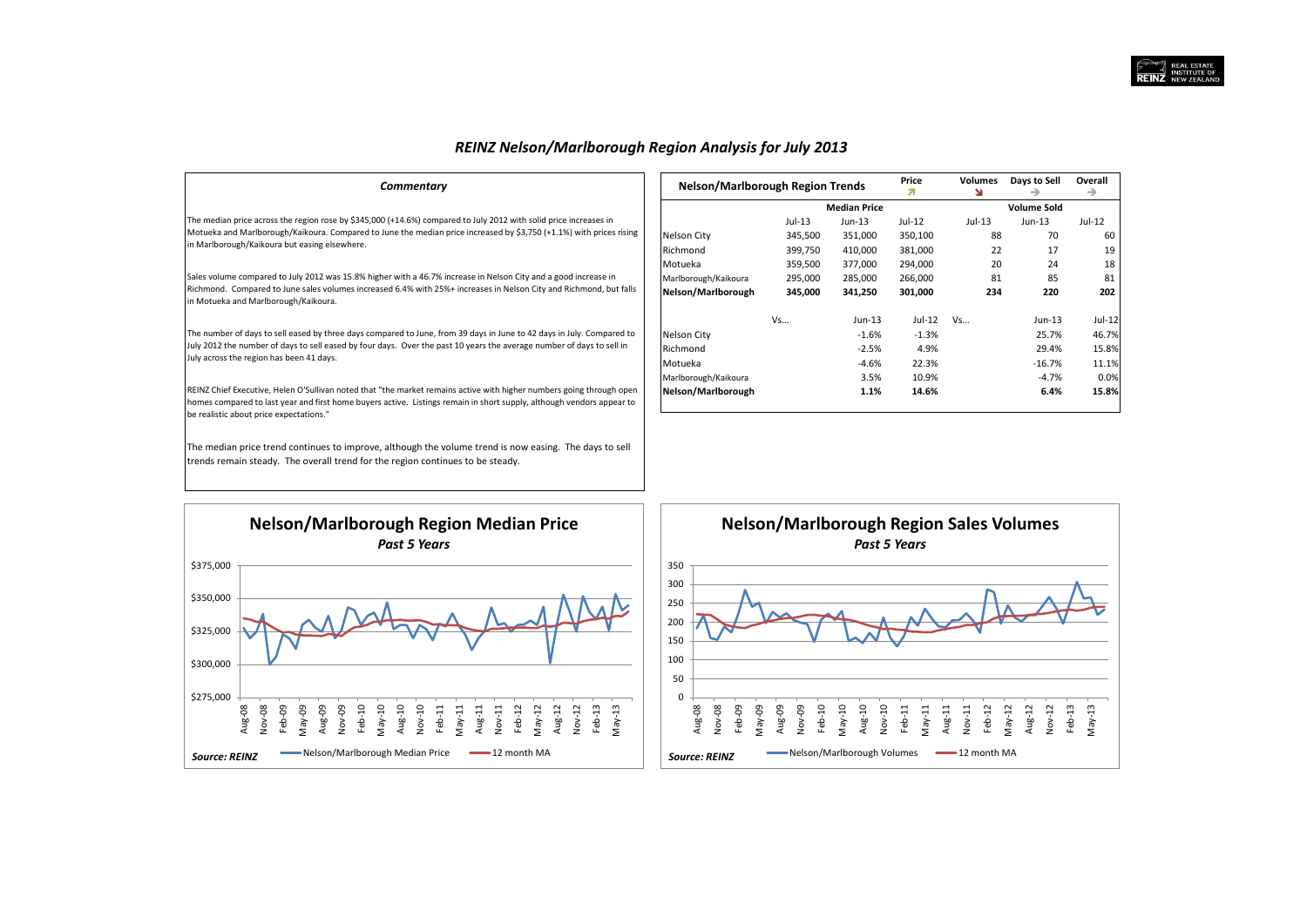## *REINZ Nelson/Marlborough Region Analysis for July 2013*

| Commentary                                                                                                                                                                                                                                                                               | Nelson/Marlborough Region Trends |          |                     | Price<br>я | Volumes | Days to Sell       | Overall<br>→ |
|------------------------------------------------------------------------------------------------------------------------------------------------------------------------------------------------------------------------------------------------------------------------------------------|----------------------------------|----------|---------------------|------------|---------|--------------------|--------------|
|                                                                                                                                                                                                                                                                                          |                                  |          | <b>Median Price</b> |            |         | <b>Volume Sold</b> |              |
| The median price across the region rose by \$345,000 (+14.6%) compared to July 2012 with solid price increases in                                                                                                                                                                        |                                  | $Jul-13$ | $Jun-13$            | Jul-12     | Jul-13  | $Jun-13$           | Jul-12       |
| Motueka and Marlborough/Kaikoura. Compared to June the median price increased by \$3,750 (+1.1%) with prices rising                                                                                                                                                                      | Nelson City                      | 345,500  | 351,000             | 350,100    | 88      | 70                 | 60           |
| in Marlborough/Kaikoura but easing elsewhere.                                                                                                                                                                                                                                            | Richmond                         | 399,750  | 410,000             | 381,000    | 22      | 17                 | 19           |
|                                                                                                                                                                                                                                                                                          | Motueka                          | 359,500  | 377,000             | 294,000    | 20      | 24                 | 18           |
| Sales volume compared to July 2012 was 15.8% higher with a 46.7% increase in Nelson City and a good increase in                                                                                                                                                                          | Marlborough/Kaikoura             | 295,000  | 285,000             | 266,000    | 81      | 85                 | 81           |
| Richmond. Compared to June sales volumes increased 6.4% with 25%+ increases in Nelson City and Richmond, but falls<br>in Motueka and Marlborough/Kaikoura.                                                                                                                               | Nelson/Marlborough               | 345,000  | 341,250             | 301,000    | 234     | 220                | 202          |
|                                                                                                                                                                                                                                                                                          |                                  | Vs       | Jun-13              | Jul-12     | Vs      | Jun-13             | $Jul-12$     |
| The number of days to sell eased by three days compared to June, from 39 days in June to 42 days in July. Compared to                                                                                                                                                                    | Nelson City                      |          | $-1.6%$             | $-1.3%$    |         | 25.7%              | 46.7%        |
| July 2012 the number of days to sell eased by four days. Over the past 10 years the average number of days to sell in                                                                                                                                                                    | Richmond                         |          | $-2.5%$             | 4.9%       |         | 29.4%              | 15.8%        |
| July across the region has been 41 days.                                                                                                                                                                                                                                                 | Motueka                          |          | $-4.6%$             | 22.3%      |         | $-16.7%$           | 11.1%        |
|                                                                                                                                                                                                                                                                                          | Marlborough/Kaikoura             |          | 3.5%                | 10.9%      |         | $-4.7%$            | 0.0%         |
| REINZ Chief Executive, Helen O'Sullivan noted that "the market remains active with higher numbers going through open<br>homes compared to last year and first home buyers active. Listings remain in short supply, although vendors appear to<br>be realistic about price expectations." | Nelson/Marlborough               |          | 1.1%                | 14.6%      |         | 6.4%               | 15.8%        |
| The median price trend continues to improve, although the volume trend is now easing. The days to sell                                                                                                                                                                                   |                                  |          |                     |            |         |                    |              |

![](_page_7_Figure_3.jpeg)

trends remain steady. The overall trend for the region continues to be steady.

![](_page_7_Figure_4.jpeg)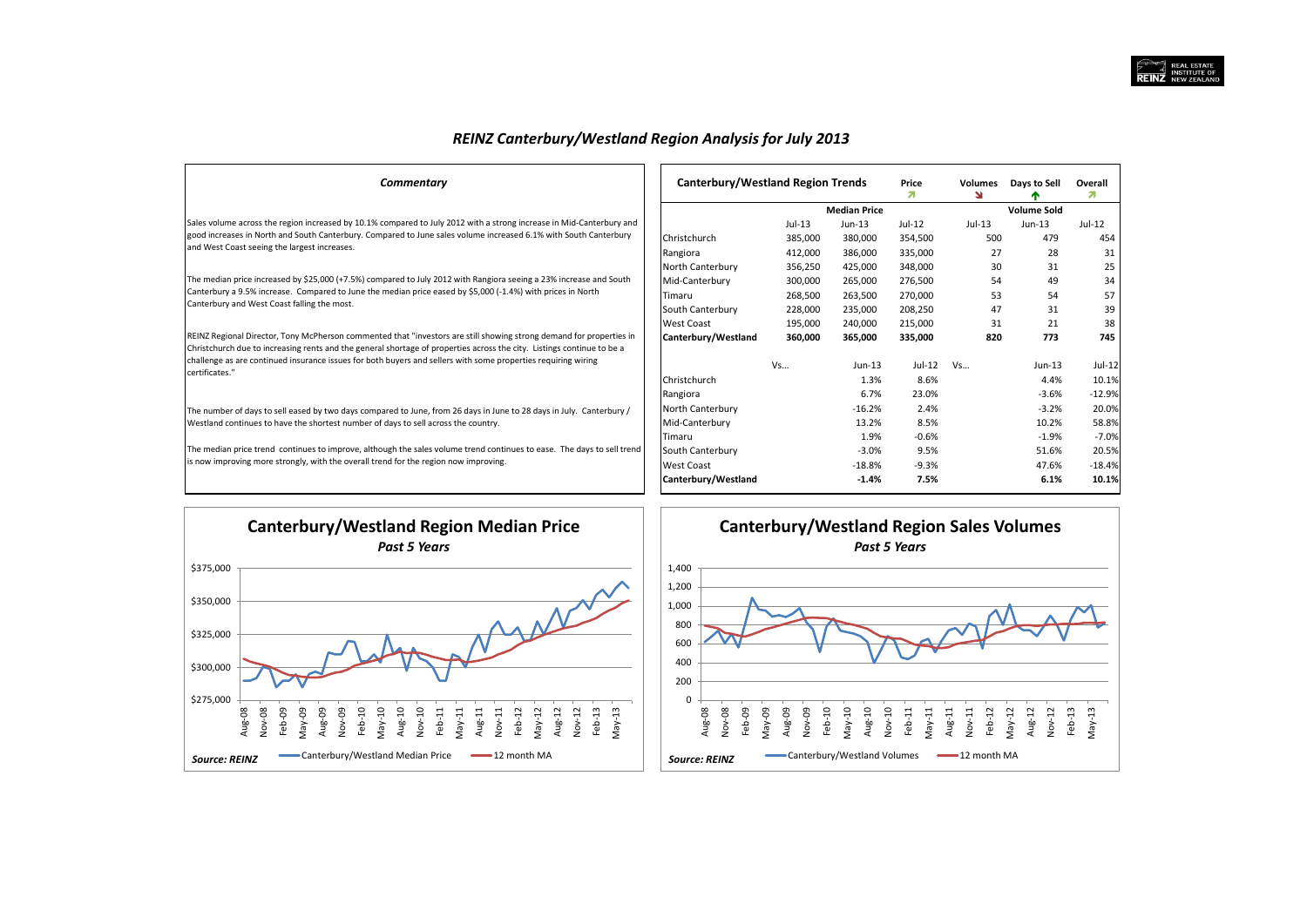Overall  $\mathbf{z}$ 

 $Jul-12$ 

454  $31$ 

 $25$ 

34

57

39

38 745

 $Jul-12$ 

10.1%

 $-12.9%$ 

20.0%

58.8%

 $-7.0%$ 

20.5%

 $-18.4%$ 10.1%

| <b>REINZ Canterbury/Westland Region Analysis for July 2013</b> |  |  |
|----------------------------------------------------------------|--|--|
|----------------------------------------------------------------|--|--|

| Commentary                                                                                                                                                                                                                                    | Canterbury/Westland Region Trends |          | Price<br>я          | <b>Volumes</b><br>N | Days to Sell |                    |
|-----------------------------------------------------------------------------------------------------------------------------------------------------------------------------------------------------------------------------------------------|-----------------------------------|----------|---------------------|---------------------|--------------|--------------------|
|                                                                                                                                                                                                                                               |                                   |          | <b>Median Price</b> |                     |              | <b>Volume Sold</b> |
| Sales volume across the region increased by 10.1% compared to July 2012 with a strong increase in Mid-Canterbury and                                                                                                                          |                                   | $Jul-13$ | $Jun-13$            | $Jul-12$            | $Jul-13$     | $Jun-13$           |
| good increases in North and South Canterbury. Compared to June sales volume increased 6.1% with South Canterbury                                                                                                                              | Christchurch                      | 385,000  | 380,000             | 354,500             | 500          | 479                |
| and West Coast seeing the largest increases.                                                                                                                                                                                                  | Rangiora                          | 412,000  | 386,000             | 335,000             | 27           | 28                 |
|                                                                                                                                                                                                                                               | North Canterbury                  | 356,250  | 425,000             | 348,000             | 30           | 31                 |
| The median price increased by \$25,000 (+7.5%) compared to July 2012 with Rangiora seeing a 23% increase and South                                                                                                                            | Mid-Canterbury                    | 300,000  | 265,000             | 276,500             | 54           | 49                 |
| Canterbury a 9.5% increase. Compared to June the median price eased by \$5,000 (-1.4%) with prices in North                                                                                                                                   | Timaru                            | 268,500  | 263,500             | 270,000             | 53           | 54                 |
| Canterbury and West Coast falling the most.                                                                                                                                                                                                   | South Canterbury                  | 228,000  | 235,000             | 208,250             | 47           | 31                 |
|                                                                                                                                                                                                                                               | West Coast                        | 195,000  | 240,000             | 215,000             | 31           | 21                 |
| REINZ Regional Director, Tony McPherson commented that "investors are still showing strong demand for properties in<br>Christchurch due to increasing rents and the general shortage of properties across the city. Listings continue to be a | Canterbury/Westland               | 360,000  | 365,000             | 335,000             | 820          | 773                |
| challenge as are continued insurance issues for both buyers and sellers with some properties requiring wiring                                                                                                                                 |                                   | Vs       | $Jun-13$            | Jul-12              | Vs           | Jun-13             |
| certificates."                                                                                                                                                                                                                                | Christchurch                      |          | 1.3%                | 8.6%                |              | 4.4%               |
|                                                                                                                                                                                                                                               | Rangiora                          |          | 6.7%                | 23.0%               |              | $-3.6%$            |
| The number of days to sell eased by two days compared to June, from 26 days in June to 28 days in July. Canterbury /                                                                                                                          | North Canterbury                  |          | $-16.2%$            | 2.4%                |              | $-3.2%$            |
| Westland continues to have the shortest number of days to sell across the country.                                                                                                                                                            | Mid-Canterbury                    |          | 13.2%               | 8.5%                |              | 10.2%              |
|                                                                                                                                                                                                                                               | Timaru                            |          | 1.9%                | $-0.6%$             |              | $-1.9%$            |
| The median price trend continues to improve, although the sales volume trend continues to ease. The days to sell trend                                                                                                                        | South Canterbury                  |          | $-3.0%$             | 9.5%                |              | 51.6%              |
| is now improving more strongly, with the overall trend for the region now improving.                                                                                                                                                          | West Coast                        |          | $-18.8%$            | $-9.3%$             |              | 47.6%              |
|                                                                                                                                                                                                                                               | Canterbury/Westland               |          | $-1.4%$             | 7.5%                |              | 6.1%               |

![](_page_8_Figure_3.jpeg)

![](_page_8_Figure_4.jpeg)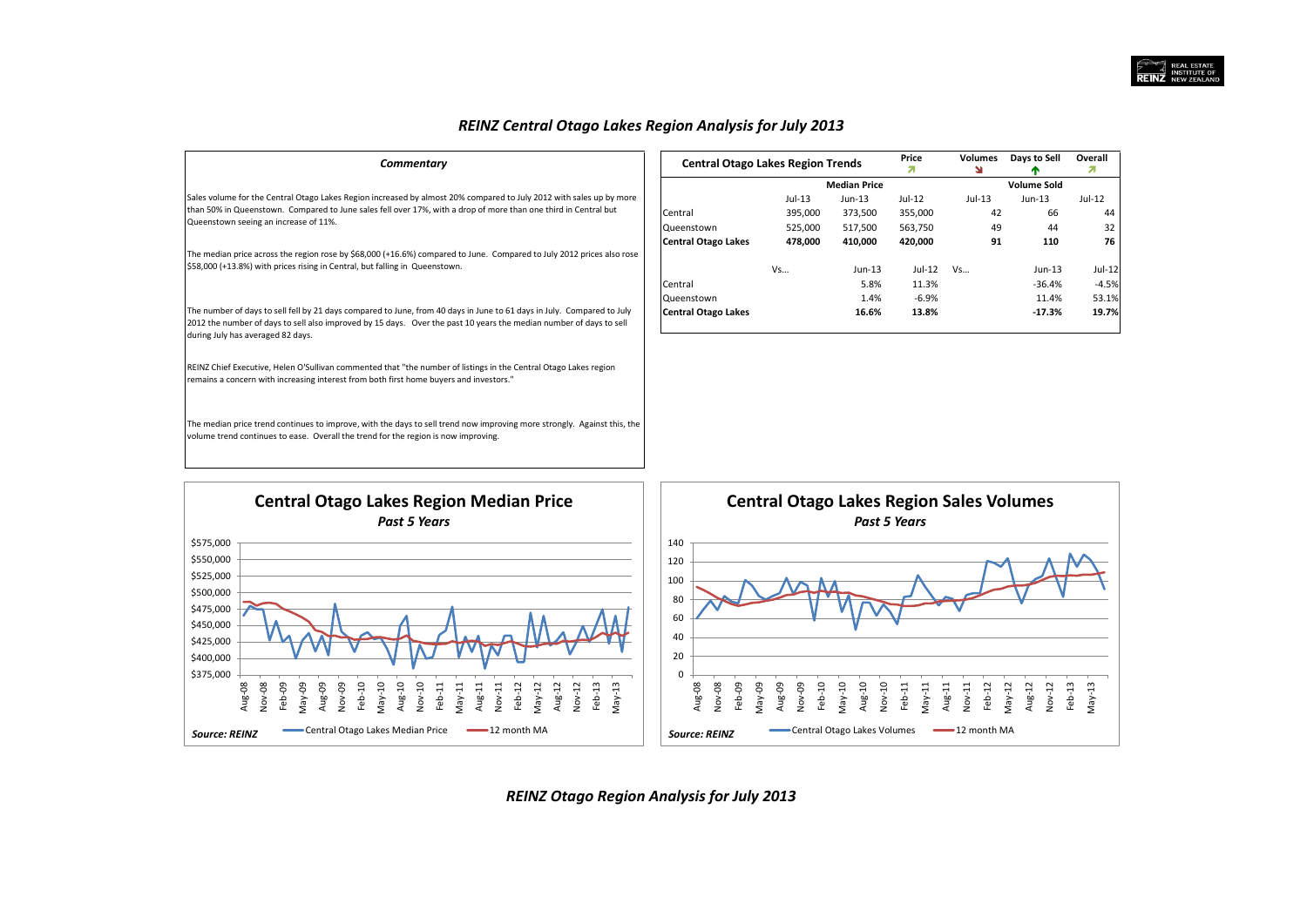## *REINZ Central Otago Lakes Region Analysis for July 2013*

| Commentary                                                                                                                                                                                                                                                                        |                                                                               | Price<br><b>Central Otago Lakes Region Trends</b><br>я |                     |          | Volumes<br>۷ | Days to Sell       | Overall<br>Л |
|-----------------------------------------------------------------------------------------------------------------------------------------------------------------------------------------------------------------------------------------------------------------------------------|-------------------------------------------------------------------------------|--------------------------------------------------------|---------------------|----------|--------------|--------------------|--------------|
|                                                                                                                                                                                                                                                                                   |                                                                               |                                                        | <b>Median Price</b> |          |              | <b>Volume Sold</b> |              |
| Sales volume for the Central Otago Lakes Region increased by almost 20% compared to July 2012 with sales up by more                                                                                                                                                               |                                                                               | $Jul-13$                                               | Jun-13              | $Jul-12$ | $Jul-13$     | $Jun-13$           | $Jul-12$     |
| than 50% in Queenstown. Compared to June sales fell over 17%, with a drop of more than one third in Central but                                                                                                                                                                   | Central                                                                       | 395,000                                                | 373,500             | 355,000  | 42           | 66                 | 44           |
| Queenstown seeing an increase of 11%.                                                                                                                                                                                                                                             | Queenstown                                                                    | 525,000                                                | 517,500             | 563,750  | 49           | 44                 | 32           |
|                                                                                                                                                                                                                                                                                   | <b>Central Otago Lakes</b>                                                    | 478,000                                                | 410,000             | 420,000  | 91           | 110                | 76           |
| The median price across the region rose by \$68,000 (+16.6%) compared to June. Compared to July 2012 prices also rose                                                                                                                                                             |                                                                               |                                                        |                     |          |              |                    |              |
| \$58,000 (+13.8%) with prices rising in Central, but falling in Queenstown.                                                                                                                                                                                                       |                                                                               | Vs                                                     | $Jun-13$            | Jul-12   | Vs           | Jun-13             | $Jul-12$     |
|                                                                                                                                                                                                                                                                                   | Central                                                                       |                                                        | 5.8%                | 11.3%    |              | $-36.4%$           | $-4.5%$      |
|                                                                                                                                                                                                                                                                                   | Queenstown                                                                    |                                                        | 1.4%                | $-6.9%$  |              | 11.4%              | 53.1%        |
| The number of days to sell fell by 21 days compared to June, from 40 days in June to 61 days in July. Compared to July<br>2012 the number of days to sell also improved by 15 days. Over the past 10 years the median number of days to sell<br>during July has averaged 82 days. | <b>Central Otago Lakes</b>                                                    |                                                        | 16.6%               | 13.8%    |              | $-17.3%$           | 19.7%        |
| REINZ Chief Executive, Helen O'Sullivan commented that "the number of listings in the Central Otago Lakes region<br>remains a concern with increasing interest from both first home buyers and investors."                                                                        |                                                                               |                                                        |                     |          |              |                    |              |
| The median price trend continues to improve, with the days to sell trend now improving more strongly. Against this, the<br>volume trend continues to ease. Overall the trend for the region is now improving.                                                                     |                                                                               |                                                        |                     |          |              |                    |              |
| <b>Central Otago Lakes Region Median Price</b><br><b>Past 5 Years</b><br>\$575,000                                                                                                                                                                                                | <b>Central Otago Lakes Region Sales Volumes</b><br><b>Past 5 Years</b><br>140 |                                                        |                     |          |              |                    |              |

![](_page_9_Figure_3.jpeg)

*REINZ Otago Region Analysis for July 2013*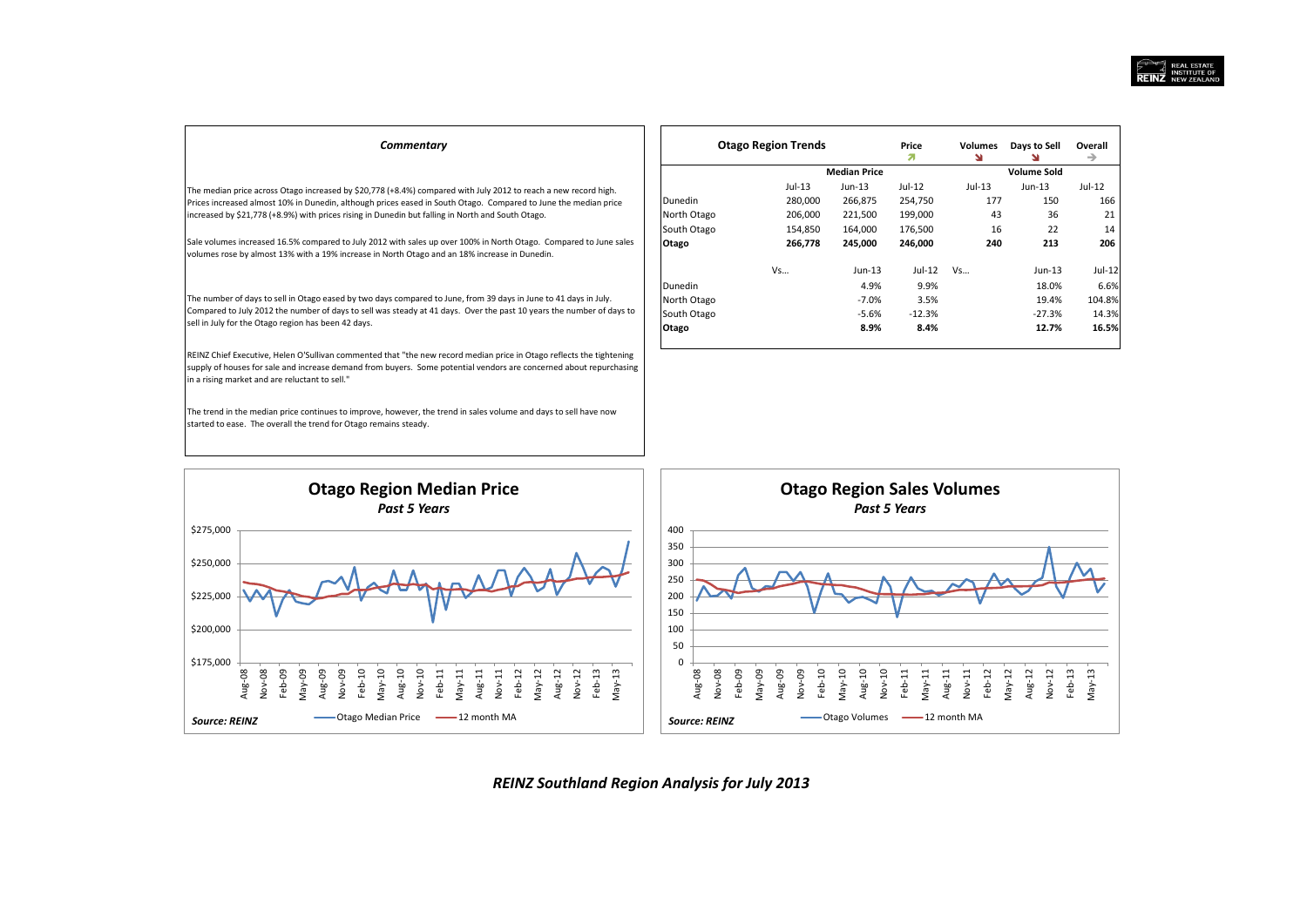| Commentary                                                                                                                                                                                                                                                                                   |                | <b>Otago Region Trends</b> |                     | Price<br>л. | <b>Volumes</b><br>N | Days to Sell       | Overall<br>$\rightarrow$ |
|----------------------------------------------------------------------------------------------------------------------------------------------------------------------------------------------------------------------------------------------------------------------------------------------|----------------|----------------------------|---------------------|-------------|---------------------|--------------------|--------------------------|
|                                                                                                                                                                                                                                                                                              |                |                            | <b>Median Price</b> |             |                     | <b>Volume Sold</b> |                          |
| The median price across Otago increased by \$20,778 (+8.4%) compared with July 2012 to reach a new record high.                                                                                                                                                                              |                | $Jul-13$                   | Jun-13              | Jul-12      | $Jul-13$            | $Jun-13$           | Jul-12                   |
| Prices increased almost 10% in Dunedin, although prices eased in South Otago. Compared to June the median price                                                                                                                                                                              | <b>Dunedin</b> | 280,000                    | 266,875             | 254,750     | 177                 | 150                | 166                      |
| increased by \$21,778 (+8.9%) with prices rising in Dunedin but falling in North and South Otago.                                                                                                                                                                                            | North Otago    | 206,000                    | 221,500             | 199,000     | 43                  | 36                 | 21                       |
|                                                                                                                                                                                                                                                                                              | South Otago    | 154,850                    | 164,000             | 176,500     | 16                  | 22                 | 14                       |
| Sale volumes increased 16.5% compared to July 2012 with sales up over 100% in North Otago. Compared to June sales<br>volumes rose by almost 13% with a 19% increase in North Otago and an 18% increase in Dunedin.                                                                           | Otago          | 266,778                    | 245,000             | 246,000     | 240                 | 213                | 206                      |
|                                                                                                                                                                                                                                                                                              |                | Vs                         | $Jun-13$            | Jul-12      | Vs                  | Jun-13             | $Jul-12$                 |
|                                                                                                                                                                                                                                                                                              | Dunedin        |                            | 4.9%                | 9.9%        |                     | 18.0%              | 6.6%                     |
| The number of days to sell in Otago eased by two days compared to June, from 39 days in June to 41 days in July.                                                                                                                                                                             | North Otago    |                            | $-7.0%$             | 3.5%        |                     | 19.4%              | 104.8%                   |
| Compared to July 2012 the number of days to sell was steady at 41 days. Over the past 10 years the number of days to                                                                                                                                                                         | South Otago    |                            | $-5.6%$             | $-12.3%$    |                     | $-27.3%$           | 14.3%                    |
| sell in July for the Otago region has been 42 days.                                                                                                                                                                                                                                          | Otago          |                            | 8.9%                | 8.4%        |                     | 12.7%              | 16.5%                    |
| REINZ Chief Executive, Helen O'Sullivan commented that "the new record median price in Otago reflects the tightening<br>supply of houses for sale and increase demand from buyers. Some potential vendors are concerned about repurchasing<br>in a rising market and are reluctant to sell." |                |                            |                     |             |                     |                    |                          |
| The trend in the median price continues to improve, however, the trend in sales volume and days to sell have now<br>started to ease. The overall the trend for Otago remains steady.                                                                                                         |                |                            |                     |             |                     |                    |                          |

![](_page_10_Figure_2.jpeg)

*REINZ Southland Region Analysis for July 2013*